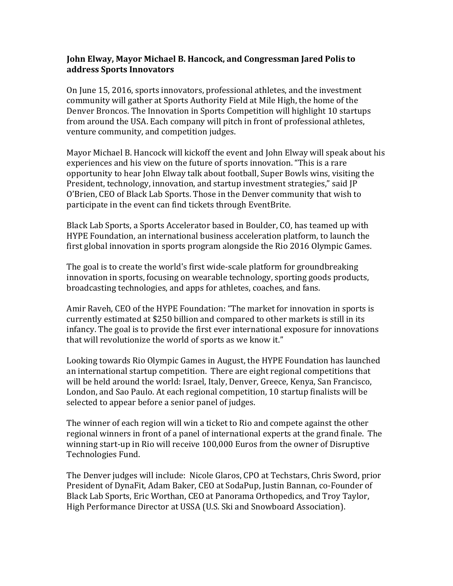## **John Elway, Mayor Michael B. Hancock, and Congressman Jared Polis to address Sports Innovators**

On June 15, 2016, sports innovators, professional athletes, and the investment community will gather at Sports Authority Field at Mile High, the home of the Denver Broncos. The Innovation in Sports Competition will highlight 10 startups from around the USA. Each company will pitch in front of professional athletes, venture community, and competition judges.

Mayor Michael B. Hancock will kickoff the event and John Elway will speak about his experiences and his view on the future of sports innovation. "This is a rare opportunity to hear John Elway talk about football. Super Bowls wins, visiting the President, technology, innovation, and startup investment strategies," said IP O'Brien, CEO of Black Lab Sports. Those in the Denver community that wish to participate in the event can find tickets through EventBrite.

Black Lab Sports, a Sports Accelerator based in Boulder, CO, has teamed up with HYPE Foundation, an international business acceleration platform, to launch the first global innovation in sports program alongside the Rio  $2016$  Olympic Games.

The goal is to create the world's first wide-scale platform for groundbreaking innovation in sports, focusing on wearable technology, sporting goods products, broadcasting technologies, and apps for athletes, coaches, and fans.

Amir Raveh, CEO of the HYPE Foundation: "The market for innovation in sports is currently estimated at \$250 billion and compared to other markets is still in its infancy. The goal is to provide the first ever international exposure for innovations that will revolutionize the world of sports as we know it."

Looking towards Rio Olympic Games in August, the HYPE Foundation has launched an international startup competition. There are eight regional competitions that will be held around the world: Israel, Italy, Denver, Greece, Kenya, San Francisco, London, and Sao Paulo. At each regional competition, 10 startup finalists will be selected to appear before a senior panel of judges.

The winner of each region will win a ticket to Rio and compete against the other regional winners in front of a panel of international experts at the grand finale. The winning start-up in Rio will receive 100,000 Euros from the owner of Disruptive Technologies Fund.

The Denver judges will include: Nicole Glaros, CPO at Techstars, Chris Sword, prior President of DynaFit, Adam Baker, CEO at SodaPup, Justin Bannan, co-Founder of Black Lab Sports, Eric Worthan, CEO at Panorama Orthopedics, and Troy Taylor, High Performance Director at USSA (U.S. Ski and Snowboard Association).